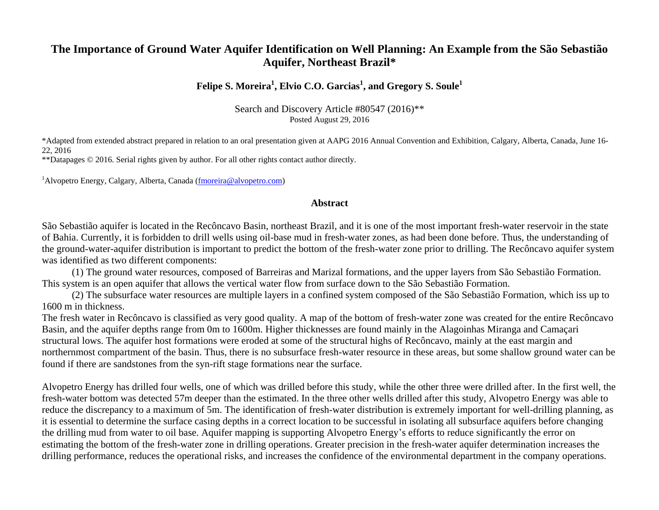# **The Importance of Ground Water Aquifer Identification on Well Planning: An Example from the São Sebastião Aquifer, Northeast Brazil\***

# **Felipe S. Moreira<sup>1</sup> , Elvio C.O. Garcias<sup>1</sup> , and Gregory S. Soule<sup>1</sup>**

Search and Discovery Article #80547 (2016)\*\* Posted August 29, 2016

\*Adapted from extended abstract prepared in relation to an oral presentation given at AAPG 2016 Annual Convention and Exhibition, Calgary, Alberta, Canada, June 16- 22, 2016

\*\*Datapages © 2016. Serial rights given by author. For all other rights contact author directly.

<sup>1</sup>Alvopetro Energy, Calgary, Alberta, Canada [\(fmoreira@alvopetro.com\)](mailto:fmoreira@alvopetro.com)

#### **Abstract**

São Sebastião aquifer is located in the Recôncavo Basin, northeast Brazil, and it is one of the most important fresh-water reservoir in the state of Bahia. Currently, it is forbidden to drill wells using oil-base mud in fresh-water zones, as had been done before. Thus, the understanding of the ground-water-aquifer distribution is important to predict the bottom of the fresh-water zone prior to drilling. The Recôncavo aquifer system was identified as two different components:

(1) The ground water resources, composed of Barreiras and Marizal formations, and the upper layers from São Sebastião Formation. This system is an open aquifer that allows the vertical water flow from surface down to the São Sebastião Formation.

(2) The subsurface water resources are multiple layers in a confined system composed of the São Sebastião Formation, which iss up to 1600 m in thickness.

The fresh water in Recôncavo is classified as very good quality. A map of the bottom of fresh-water zone was created for the entire Recôncavo Basin, and the aquifer depths range from 0m to 1600m. Higher thicknesses are found mainly in the Alagoinhas Miranga and Camaçari structural lows. The aquifer host formations were eroded at some of the structural highs of Recôncavo, mainly at the east margin and northernmost compartment of the basin. Thus, there is no subsurface fresh-water resource in these areas, but some shallow ground water can be found if there are sandstones from the syn-rift stage formations near the surface.

Alvopetro Energy has drilled four wells, one of which was drilled before this study, while the other three were drilled after. In the first well, the fresh-water bottom was detected 57m deeper than the estimated. In the three other wells drilled after this study, Alvopetro Energy was able to reduce the discrepancy to a maximum of 5m. The identification of fresh-water distribution is extremely important for well-drilling planning, as it is essential to determine the surface casing depths in a correct location to be successful in isolating all subsurface aquifers before changing the drilling mud from water to oil base. Aquifer mapping is supporting Alvopetro Energy's efforts to reduce significantly the error on estimating the bottom of the fresh-water zone in drilling operations. Greater precision in the fresh-water aquifer determination increases the drilling performance, reduces the operational risks, and increases the confidence of the environmental department in the company operations.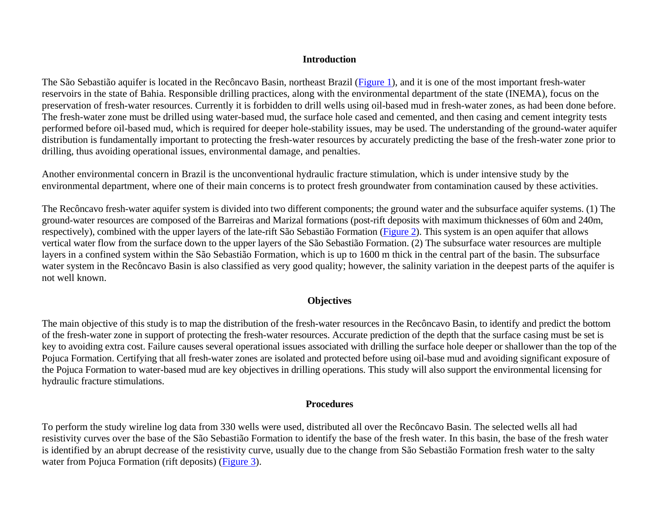#### **Introduction**

The São Sebastião aquifer is located in the Recôncavo Basin, northeast Brazil [\(Figure 1\)](#page-4-0), and it is one of the most important fresh-water reservoirs in the state of Bahia. Responsible drilling practices, along with the environmental department of the state (INEMA), focus on the preservation of fresh-water resources. Currently it is forbidden to drill wells using oil-based mud in fresh-water zones, as had been done before. The fresh-water zone must be drilled using water-based mud, the surface hole cased and cemented, and then casing and cement integrity tests performed before oil-based mud, which is required for deeper hole-stability issues, may be used. The understanding of the ground-water aquifer distribution is fundamentally important to protecting the fresh-water resources by accurately predicting the base of the fresh-water zone prior to drilling, thus avoiding operational issues, environmental damage, and penalties.

Another environmental concern in Brazil is the unconventional hydraulic fracture stimulation, which is under intensive study by the environmental department, where one of their main concerns is to protect fresh groundwater from contamination caused by these activities.

The Recôncavo fresh-water aquifer system is divided into two different components; the ground water and the subsurface aquifer systems. (1) The ground-water resources are composed of the Barreiras and Marizal formations (post-rift deposits with maximum thicknesses of 60m and 240m, respectively), combined with the upper layers of the late-rift São Sebastião Formation [\(Figure 2\)](#page-5-0). This system is an open aquifer that allows vertical water flow from the surface down to the upper layers of the São Sebastião Formation. (2) The subsurface water resources are multiple layers in a confined system within the São Sebastião Formation, which is up to 1600 m thick in the central part of the basin. The subsurface water system in the Recôncavo Basin is also classified as very good quality; however, the salinity variation in the deepest parts of the aquifer is not well known.

### **Objectives**

The main objective of this study is to map the distribution of the fresh-water resources in the Recôncavo Basin, to identify and predict the bottom of the fresh-water zone in support of protecting the fresh-water resources. Accurate prediction of the depth that the surface casing must be set is key to avoiding extra cost. Failure causes several operational issues associated with drilling the surface hole deeper or shallower than the top of the Pojuca Formation. Certifying that all fresh-water zones are isolated and protected before using oil-base mud and avoiding significant exposure of the Pojuca Formation to water-based mud are key objectives in drilling operations. This study will also support the environmental licensing for hydraulic fracture stimulations.

#### **Procedures**

To perform the study wireline log data from 330 wells were used, distributed all over the Recôncavo Basin. The selected wells all had resistivity curves over the base of the São Sebastião Formation to identify the base of the fresh water. In this basin, the base of the fresh water is identified by an abrupt decrease of the resistivity curve, usually due to the change from São Sebastião Formation fresh water to the salty water from Pojuca Formation (rift deposits) [\(Figure 3\)](#page-6-0).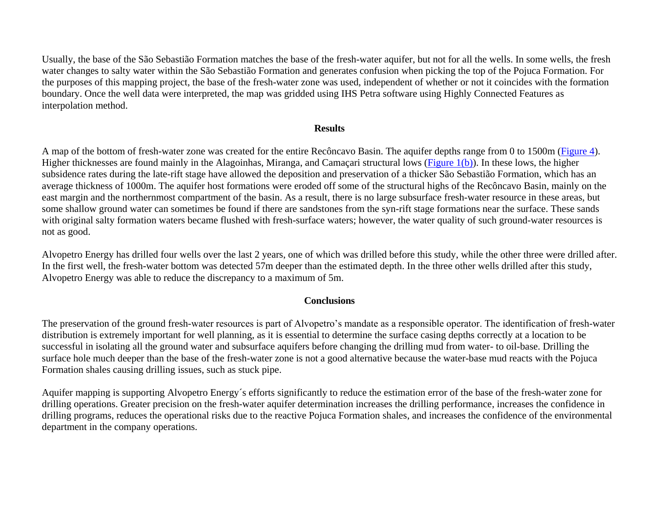Usually, the base of the São Sebastião Formation matches the base of the fresh-water aquifer, but not for all the wells. In some wells, the fresh water changes to salty water within the São Sebastião Formation and generates confusion when picking the top of the Pojuca Formation. For the purposes of this mapping project, the base of the fresh-water zone was used, independent of whether or not it coincides with the formation boundary. Once the well data were interpreted, the map was gridded using IHS Petra software using Highly Connected Features as interpolation method.

#### **Results**

A map of the bottom of fresh-water zone was created for the entire Recôncavo Basin. The aquifer depths range from 0 to 1500m [\(Figure 4\)](#page-7-0). Higher thicknesses are found mainly in the Alagoinhas, Miranga, and Camaçari structural lows [\(Figure 1\(b\)\)](#page-4-0). In these lows, the higher subsidence rates during the late-rift stage have allowed the deposition and preservation of a thicker São Sebastião Formation, which has an average thickness of 1000m. The aquifer host formations were eroded off some of the structural highs of the Recôncavo Basin, mainly on the east margin and the northernmost compartment of the basin. As a result, there is no large subsurface fresh-water resource in these areas, but some shallow ground water can sometimes be found if there are sandstones from the syn-rift stage formations near the surface. These sands with original salty formation waters became flushed with fresh-surface waters; however, the water quality of such ground-water resources is not as good.

Alvopetro Energy has drilled four wells over the last 2 years, one of which was drilled before this study, while the other three were drilled after. In the first well, the fresh-water bottom was detected 57m deeper than the estimated depth. In the three other wells drilled after this study, Alvopetro Energy was able to reduce the discrepancy to a maximum of 5m.

#### **Conclusions**

The preservation of the ground fresh-water resources is part of Alvopetro's mandate as a responsible operator. The identification of fresh-water distribution is extremely important for well planning, as it is essential to determine the surface casing depths correctly at a location to be successful in isolating all the ground water and subsurface aquifers before changing the drilling mud from water- to oil-base. Drilling the surface hole much deeper than the base of the fresh-water zone is not a good alternative because the water-base mud reacts with the Pojuca Formation shales causing drilling issues, such as stuck pipe.

Aquifer mapping is supporting Alvopetro Energy´s efforts significantly to reduce the estimation error of the base of the fresh-water zone for drilling operations. Greater precision on the fresh-water aquifer determination increases the drilling performance, increases the confidence in drilling programs, reduces the operational risks due to the reactive Pojuca Formation shales, and increases the confidence of the environmental department in the company operations.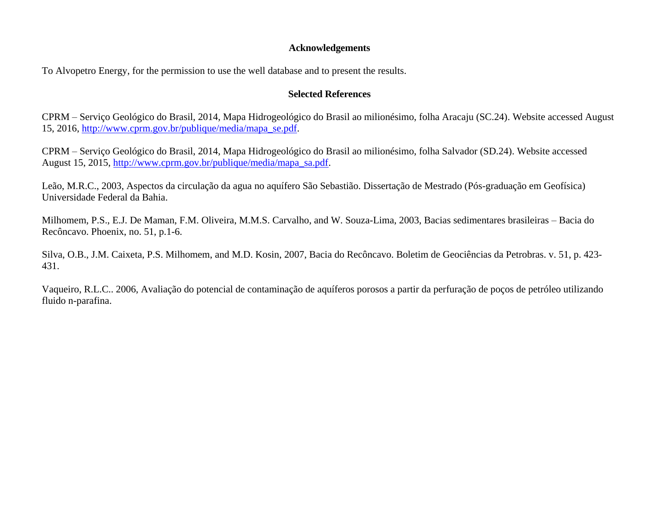#### **Acknowledgements**

To Alvopetro Energy, for the permission to use the well database and to present the results.

## **Selected References**

CPRM – Serviço Geológico do Brasil, 2014, Mapa Hidrogeológico do Brasil ao milionésimo, folha Aracaju (SC.24). Website accessed August 15, 2016, [http://www.cprm.gov.br/publique/media/mapa\\_se.pdf.](http://www.cprm.gov.br/publique/media/mapa_se.pdf)

CPRM – Serviço Geológico do Brasil, 2014, Mapa Hidrogeológico do Brasil ao milionésimo, folha Salvador (SD.24). Website accessed August 15, 2015, [http://www.cprm.gov.br/publique/media/mapa\\_sa.pdf.](http://www.cprm.gov.br/publique/media/mapa_sa.pdf)

Leão, M.R.C., 2003, Aspectos da circulação da agua no aquífero São Sebastião. Dissertação de Mestrado (Pós-graduação em Geofísica) Universidade Federal da Bahia.

Milhomem, P.S., E.J. De Maman, F.M. Oliveira, M.M.S. Carvalho, and W. Souza-Lima, 2003, Bacias sedimentares brasileiras – Bacia do Recôncavo. Phoenix, no. 51, p.1-6.

Silva, O.B., J.M. Caixeta, P.S. Milhomem, and M.D. Kosin, 2007, Bacia do Recôncavo. Boletim de Geociências da Petrobras. v. 51, p. 423- 431.

Vaqueiro, R.L.C.. 2006, Avaliação do potencial de contaminação de aquíferos porosos a partir da perfuração de poços de petróleo utilizando fluido n-parafina.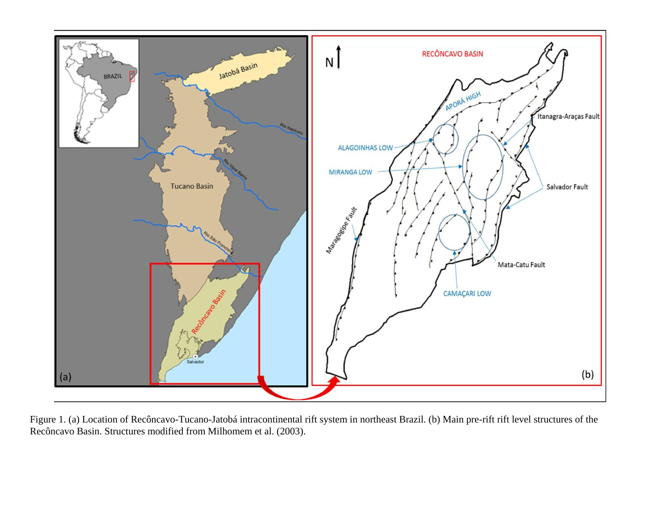<span id="page-4-0"></span>

Figure 1. (a) Location of Recôncavo-Tucano-Jatobá intracontinental rift system in northeast Brazil. (b) Main pre-rift rift level structures of the Recôncavo Basin. Structures modified from Milhomem et al. (2003).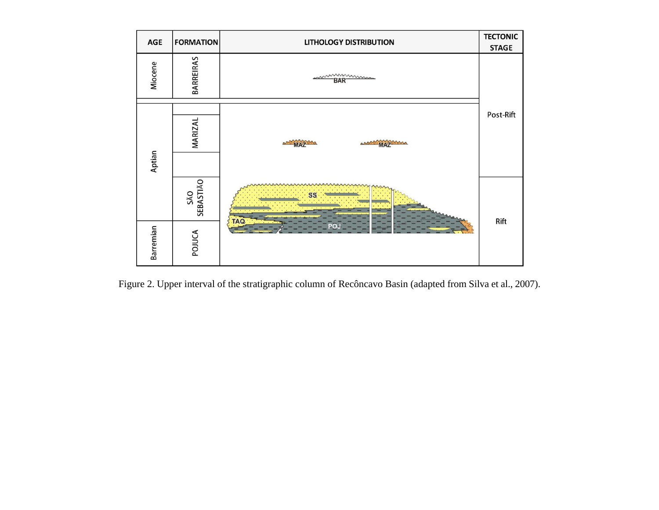<span id="page-5-0"></span>

Figure 2. Upper interval of the stratigraphic column of Recôncavo Basin (adapted from Silva et al., 2007).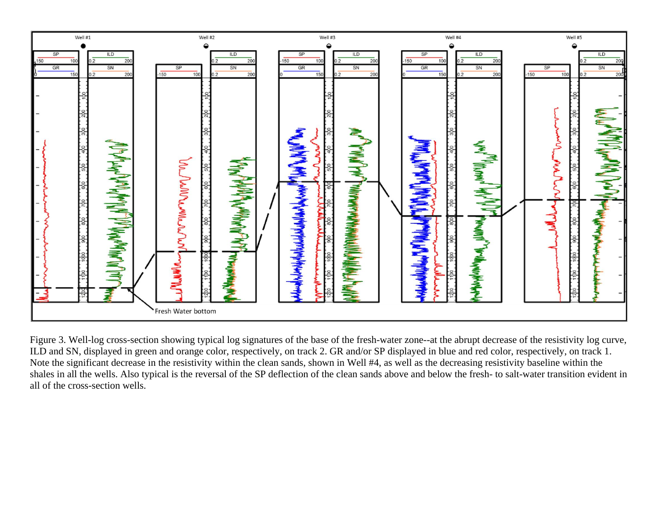<span id="page-6-0"></span>

Figure 3. Well-log cross-section showing typical log signatures of the base of the fresh-water zone--at the abrupt decrease of the resistivity log curve, ILD and SN, displayed in green and orange color, respectively, on track 2. GR and/or SP displayed in blue and red color, respectively, on track 1. Note the significant decrease in the resistivity within the clean sands, shown in Well #4, as well as the decreasing resistivity baseline within the shales in all the wells. Also typical is the reversal of the SP deflection of the clean sands above and below the fresh- to salt-water transition evident in all of the cross-section wells.